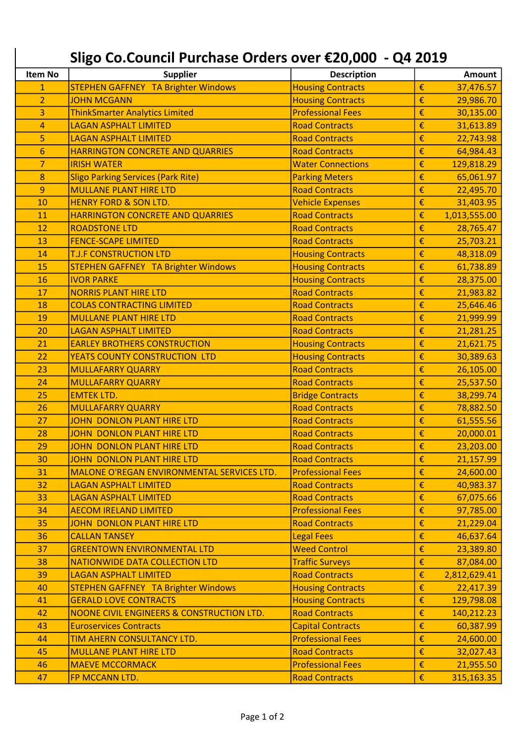|                | Sligo Co.Council Purchase Orders over €20,000 - Q4 2019 |                          |                  |              |
|----------------|---------------------------------------------------------|--------------------------|------------------|--------------|
| Item No        | <b>Supplier</b>                                         | <b>Description</b>       |                  | Amount       |
| $\mathbf{1}$   | STEPHEN GAFFNEY TA Brighter Windows                     | <b>Housing Contracts</b> | €                | 37,476.57    |
| $\overline{2}$ | <b>JOHN MCGANN</b>                                      | <b>Housing Contracts</b> | €                | 29,986.70    |
| 3              | <b>ThinkSmarter Analytics Limited</b>                   | <b>Professional Fees</b> | €                | 30,135.00    |
| 4              | <b>LAGAN ASPHALT LIMITED</b>                            | <b>Road Contracts</b>    | €                | 31,613.89    |
| 5              | <b>LAGAN ASPHALT LIMITED</b>                            | <b>Road Contracts</b>    | €                | 22,743.98    |
| 6              | <b>HARRINGTON CONCRETE AND QUARRIES</b>                 | <b>Road Contracts</b>    | €                | 64,984.43    |
| 7              | <b>IRISH WATER</b>                                      | <b>Water Connections</b> | €                | 129,818.29   |
| 8              | <b>Sligo Parking Services (Park Rite)</b>               | <b>Parking Meters</b>    | €                | 65,061.97    |
| 9              | <b>MULLANE PLANT HIRE LTD</b>                           | <b>Road Contracts</b>    | €                | 22,495.70    |
| 10             | <b>HENRY FORD &amp; SON LTD.</b>                        | <b>Vehicle Expenses</b>  | €                | 31,403.95    |
| 11             | <b>HARRINGTON CONCRETE AND QUARRIES</b>                 | <b>Road Contracts</b>    | €                | 1,013,555.00 |
| 12             | <b>ROADSTONE LTD</b>                                    | <b>Road Contracts</b>    | €                | 28,765.47    |
| 13             | <b>FENCE-SCAPE LIMITED</b>                              | <b>Road Contracts</b>    | €                | 25,703.21    |
| 14             | <b>T.J.F CONSTRUCTION LTD</b>                           | <b>Housing Contracts</b> | €                | 48,318.09    |
| 15             | <b>STEPHEN GAFFNEY TA Brighter Windows</b>              | <b>Housing Contracts</b> | €                | 61,738.89    |
| 16             | <b>IVOR PARKE</b>                                       | <b>Housing Contracts</b> | €                | 28,375.00    |
| 17             | <b>NORRIS PLANT HIRE LTD</b>                            | <b>Road Contracts</b>    | €                | 21,983.82    |
| 18             | <b>COLAS CONTRACTING LIMITED</b>                        | <b>Road Contracts</b>    | €                | 25,646.46    |
| 19             | <b>MULLANE PLANT HIRE LTD</b>                           | <b>Road Contracts</b>    | €                | 21,999.99    |
| 20             | <b>LAGAN ASPHALT LIMITED</b>                            | <b>Road Contracts</b>    | €                | 21,281.25    |
| 21             | <b>EARLEY BROTHERS CONSTRUCTION</b>                     | <b>Housing Contracts</b> | €                | 21,621.75    |
| 22             | YEATS COUNTY CONSTRUCTION LTD                           | <b>Housing Contracts</b> | €                | 30,389.63    |
| 23             | <b>MULLAFARRY QUARRY</b>                                | <b>Road Contracts</b>    | €                | 26,105.00    |
| 24             | <b>MULLAFARRY QUARRY</b>                                | <b>Road Contracts</b>    | €                | 25,537.50    |
| 25             | <b>EMTEK LTD.</b>                                       | <b>Bridge Contracts</b>  | €                | 38,299.74    |
| 26             | <b>MULLAFARRY QUARRY</b>                                | <b>Road Contracts</b>    | €                | 78,882.50    |
| 27             | <b>JOHN DONLON PLANT HIRE LTD</b>                       | <b>Road Contracts</b>    | €                | 61,555.56    |
| 28             | <b>JOHN DONLON PLANT HIRE LTD</b>                       | <b>Road Contracts</b>    | €                | 20,000.01    |
| 29             | JOHN DONLON PLANT HIRE LTD                              | <b>Road Contracts</b>    | $\pmb{\epsilon}$ | 23,203.00    |
| 30             | JOHN DONLON PLANT HIRE LTD                              | <b>Road Contracts</b>    | €                | 21,157.99    |
| 31             | MALONE O'REGAN ENVIRONMENTAL SERVICES LTD.              | <b>Professional Fees</b> | €                | 24,600.00    |
| 32             | <b>LAGAN ASPHALT LIMITED</b>                            | <b>Road Contracts</b>    | €                | 40,983.37    |
| 33             | <b>LAGAN ASPHALT LIMITED</b>                            | <b>Road Contracts</b>    | €                | 67,075.66    |
| 34             | <b>AECOM IRELAND LIMITED</b>                            | <b>Professional Fees</b> | €                | 97,785.00    |
| 35             | <b>JOHN DONLON PLANT HIRE LTD</b>                       | <b>Road Contracts</b>    | €                | 21,229.04    |
| 36             | <b>CALLAN TANSEY</b>                                    | <b>Legal Fees</b>        | €                | 46,637.64    |
| 37             | <b>GREENTOWN ENVIRONMENTAL LTD</b>                      | <b>Weed Control</b>      | €                | 23,389.80    |
| 38             | NATIONWIDE DATA COLLECTION LTD                          | <b>Traffic Surveys</b>   | €                | 87,084.00    |
| 39             | <b>LAGAN ASPHALT LIMITED</b>                            | <b>Road Contracts</b>    | €                | 2,812,629.41 |
| 40             | <b>STEPHEN GAFFNEY TA Brighter Windows</b>              | <b>Housing Contracts</b> | €                | 22,417.39    |
| 41             | <b>GERALD LOVE CONTRACTS</b>                            | <b>Housing Contracts</b> | €                | 129,798.08   |
| 42             | NOONE CIVIL ENGINEERS & CONSTRUCTION LTD.               | <b>Road Contracts</b>    | €                | 140,212.23   |
| 43             | <b>Euroservices Contracts</b>                           | <b>Capital Contracts</b> | €                | 60,387.99    |
| 44             | TIM AHERN CONSULTANCY LTD.                              | <b>Professional Fees</b> | €                | 24,600.00    |
| 45             | <b>MULLANE PLANT HIRE LTD</b>                           | <b>Road Contracts</b>    | €                | 32,027.43    |
| 46             | <b>MAEVE MCCORMACK</b>                                  | <b>Professional Fees</b> | €                | 21,955.50    |
| 47             | FP MCCANN LTD.                                          | <b>Road Contracts</b>    | $\pmb{\epsilon}$ | 315,163.35   |